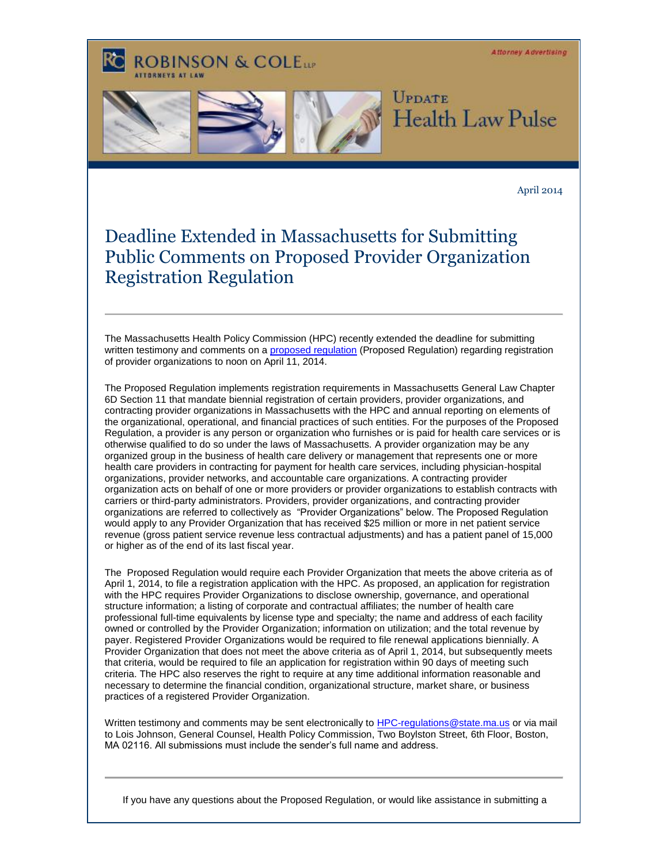**Attorney Advertising** 

## **ROBINSON & COLELLE**







April 2014

## Deadline Extended in Massachusetts for Submitting Public Comments on Proposed Provider Organization Registration Regulation

The Massachusetts Health Policy Commission (HPC) recently extended the deadline for submitting written testimony and comments on [a proposed regulation](http://t2806904.invoc.us/track.aspx?id=402|2AD478|6F10|19C|4B8|0|1F5|1|67F8609C&useSmaid=t&useCid=t&destination=http%3a%2f%2fwww.mass.gov%2fanf%2fdocs%2fhpc%2fcdpsr%2f20131213-memo-and-draft-regulation-to-cdpsr-watermarked.pdf&dchk=67C2A99C) (Proposed Regulation) regarding registration of provider organizations to noon on April 11, 2014.

The Proposed Regulation implements registration requirements in Massachusetts General Law Chapter 6D Section 11 that mandate biennial registration of certain providers, provider organizations, and contracting provider organizations in Massachusetts with the HPC and annual reporting on elements of the organizational, operational, and financial practices of such entities. For the purposes of the Proposed Regulation, a provider is any person or organization who furnishes or is paid for health care services or is otherwise qualified to do so under the laws of Massachusetts. A provider organization may be any organized group in the business of health care delivery or management that represents one or more health care providers in contracting for payment for health care services, including physician-hospital organizations, provider networks, and accountable care organizations. A contracting provider organization acts on behalf of one or more providers or provider organizations to establish contracts with carriers or third-party administrators. Providers, provider organizations, and contracting provider organizations are referred to collectively as "Provider Organizations" below. The Proposed Regulation would apply to any Provider Organization that has received \$25 million or more in net patient service revenue (gross patient service revenue less contractual adjustments) and has a patient panel of 15,000 or higher as of the end of its last fiscal year.

The Proposed Regulation would require each Provider Organization that meets the above criteria as of April 1, 2014, to file a registration application with the HPC. As proposed, an application for registration with the HPC requires Provider Organizations to disclose ownership, governance, and operational structure information; a listing of corporate and contractual affiliates; the number of health care professional full-time equivalents by license type and specialty; the name and address of each facility owned or controlled by the Provider Organization; information on utilization; and the total revenue by payer. Registered Provider Organizations would be required to file renewal applications biennially. A Provider Organization that does not meet the above criteria as of April 1, 2014, but subsequently meets that criteria, would be required to file an application for registration within 90 days of meeting such criteria. The HPC also reserves the right to require at any time additional information reasonable and necessary to determine the financial condition, organizational structure, market share, or business practices of a registered Provider Organization.

Written testimony and comments may be sent electronically to [HPC-regulations@state.ma.us](mailto:HPC-regulations@state.ma.us) or via mail to Lois Johnson, General Counsel, Health Policy Commission, Two Boylston Street, 6th Floor, Boston, MA 02116. All submissions must include the sender's full name and address.

If you have any questions about the Proposed Regulation, or would like assistance in submitting a